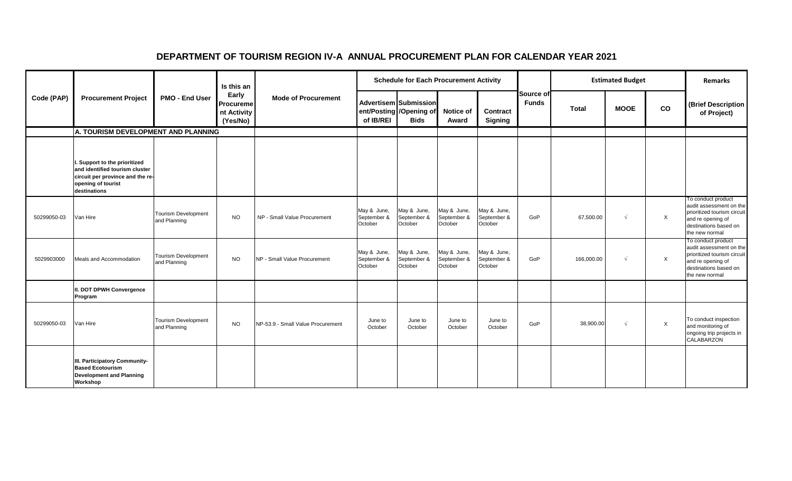## **DEPARTMENT OF TOURISM REGION IV-A ANNUAL PROCUREMENT PLAN FOR CALENDAR YEAR 2021**

| Code (PAP)  |                                                                                                                                           |                                            | Is this an                                           |                                   |                                       | <b>Schedule for Each Procurement Activity</b>                          |                                       |                                       |                           |              | <b>Estimated Budget</b> |          | <b>Remarks</b>                                                                                                                               |
|-------------|-------------------------------------------------------------------------------------------------------------------------------------------|--------------------------------------------|------------------------------------------------------|-----------------------------------|---------------------------------------|------------------------------------------------------------------------|---------------------------------------|---------------------------------------|---------------------------|--------------|-------------------------|----------|----------------------------------------------------------------------------------------------------------------------------------------------|
|             | <b>Procurement Project</b>                                                                                                                | <b>PMO - End User</b>                      | Early<br><b>Procureme</b><br>nt Activity<br>(Yes/No) | <b>Mode of Procurement</b>        | of IB/REI                             | <b>Advertisem Submission</b><br>ent/Posting /Opening of<br><b>Bids</b> | Notice of<br>Award                    | <b>Contract</b><br><b>Signing</b>     | Source of<br><b>Funds</b> | <b>Total</b> | <b>MOOE</b>             | co       | (Brief Description<br>of Project)                                                                                                            |
|             | A. TOURISM DEVELOPMENT AND PLANNING                                                                                                       |                                            |                                                      |                                   |                                       |                                                                        |                                       |                                       |                           |              |                         |          |                                                                                                                                              |
|             | I. Support to the prioritized<br>and identified tourism cluster<br>circuit per province and the re-<br>opening of tourist<br>destinations |                                            |                                                      |                                   |                                       |                                                                        |                                       |                                       |                           |              |                         |          |                                                                                                                                              |
| 50299050-03 | Van Hire                                                                                                                                  | <b>Tourism Development</b><br>and Planning | <b>NO</b>                                            | NP - Small Value Procurement      | May & June,<br>September &<br>October | May & June,<br>September &<br>October                                  | May & June,<br>September &<br>October | May & June,<br>September &<br>October | GoP                       | 67,500.00    | $\sqrt{ }$              | X        | To conduct product<br>audit assessment on the<br>prioritized tourism circuit<br>and re opening of<br>destinations based on<br>the new normal |
| 5029903000  | Meals and Accommodation                                                                                                                   | <b>Tourism Development</b><br>and Planning | <b>NO</b>                                            | NP - Small Value Procurement      | May & June,<br>September &<br>October | May & June,<br>September &<br>October                                  | May & June,<br>September &<br>October | May & June,<br>September &<br>October | GoP                       | 166,000.00   | $\sqrt{ }$              | $\times$ | To conduct product<br>audit assessment on the<br>prioritized tourism circuit<br>and re opening of<br>destinations based on<br>the new normal |
|             | II. DOT DPWH Convergence<br>Program                                                                                                       |                                            |                                                      |                                   |                                       |                                                                        |                                       |                                       |                           |              |                         |          |                                                                                                                                              |
| 50299050-03 | Van Hire                                                                                                                                  | <b>Tourism Development</b><br>and Planning | <b>NO</b>                                            | NP-53.9 - Small Value Procurement | June to<br>October                    | June to<br>October                                                     | June to<br>October                    | June to<br>October                    | GoP                       | 38,900.00    | $\sqrt{ }$              | X        | To conduct inspection<br>and monitoring of<br>ongoing trip projects in<br>CALABARZON                                                         |
|             | III. Participatory Community-<br><b>Based Ecotourism</b><br><b>Development and Planning</b><br>Workshop                                   |                                            |                                                      |                                   |                                       |                                                                        |                                       |                                       |                           |              |                         |          |                                                                                                                                              |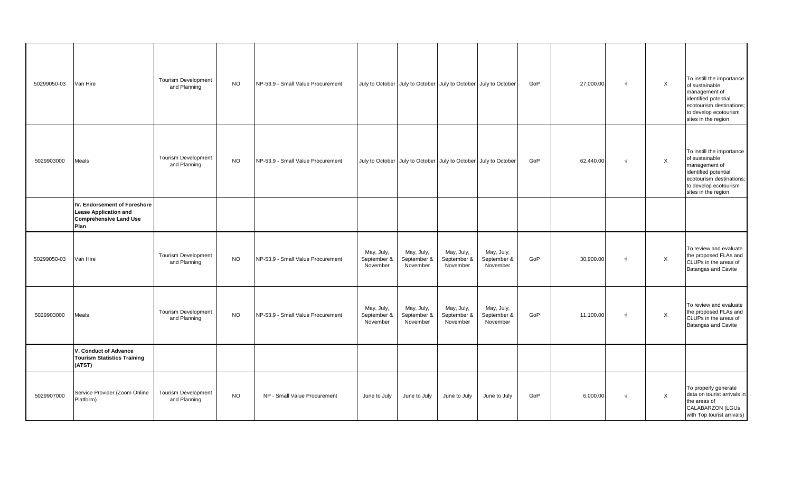| 50299050-03 | Van Hire                                                                                              | <b>Tourism Development</b><br>and Planning | <b>NO</b> | NP-53.9 - Small Value Procurement |                                       |                                       |                                       | July to October July to October July to October July to October | GoP | 27,000.00 | $\sqrt{ }$ | $\mathsf{X}$ | To instill the importance<br>of sustainable<br>management of<br>identified potential<br>ecotourism destinations;<br>to develop ecotourism<br>sites in the region |
|-------------|-------------------------------------------------------------------------------------------------------|--------------------------------------------|-----------|-----------------------------------|---------------------------------------|---------------------------------------|---------------------------------------|-----------------------------------------------------------------|-----|-----------|------------|--------------|------------------------------------------------------------------------------------------------------------------------------------------------------------------|
| 5029903000  | Meals                                                                                                 | <b>Tourism Development</b><br>and Planning | <b>NO</b> | NP-53.9 - Small Value Procurement |                                       |                                       |                                       | July to October July to October July to October July to October | GoP | 62,440.00 | $\sqrt{ }$ | $\mathsf X$  | To instill the importance<br>of sustainable<br>management of<br>identified potential<br>ecotourism destinations;<br>to develop ecotourism<br>sites in the region |
|             | IV. Endorsement of Foreshore<br><b>Lease Application and</b><br><b>Comprehensive Land Use</b><br>Plan |                                            |           |                                   |                                       |                                       |                                       |                                                                 |     |           |            |              |                                                                                                                                                                  |
| 50299050-03 | Van Hire                                                                                              | <b>Tourism Development</b><br>and Planning | <b>NO</b> | NP-53.9 - Small Value Procurement | May, July,<br>September &<br>November | May, July,<br>September &<br>November | May, July,<br>September &<br>November | May, July,<br>September &<br>November                           | GoP | 30,900.00 | $\sqrt{ }$ | $\mathsf X$  | To review and evaluate<br>the proposed FLAs and<br>CLUPs in the areas of<br><b>Batangas and Cavite</b>                                                           |
| 5029903000  | Meals                                                                                                 | <b>Tourism Development</b><br>and Planning | <b>NO</b> | NP-53.9 - Small Value Procurement | May, July,<br>September &<br>November | May, July,<br>September &<br>November | May, July,<br>September &<br>November | May, July,<br>September &<br>November                           | GoP | 11,100.00 | $\sqrt{ }$ | $\mathsf{X}$ | To review and evaluate<br>the proposed FLAs and<br>CLUPs in the areas of<br><b>Batangas and Cavite</b>                                                           |
|             | V. Conduct of Advance<br><b>Tourism Statistics Training</b><br>(ATST)                                 |                                            |           |                                   |                                       |                                       |                                       |                                                                 |     |           |            |              |                                                                                                                                                                  |
| 5029907000  | Service Provider (Zoom Online<br>Platform)                                                            | <b>Tourism Development</b><br>and Planning | <b>NO</b> | NP - Small Value Procurement      | June to July                          | June to July                          | June to July                          | June to July                                                    | GoP | 6,000.00  | $\sqrt{ }$ | $\mathsf X$  | To properly generate<br>data on tourist arrivals in<br>the areas of<br>CALABARZON (LGUs<br>with Top tourist arrivals)                                            |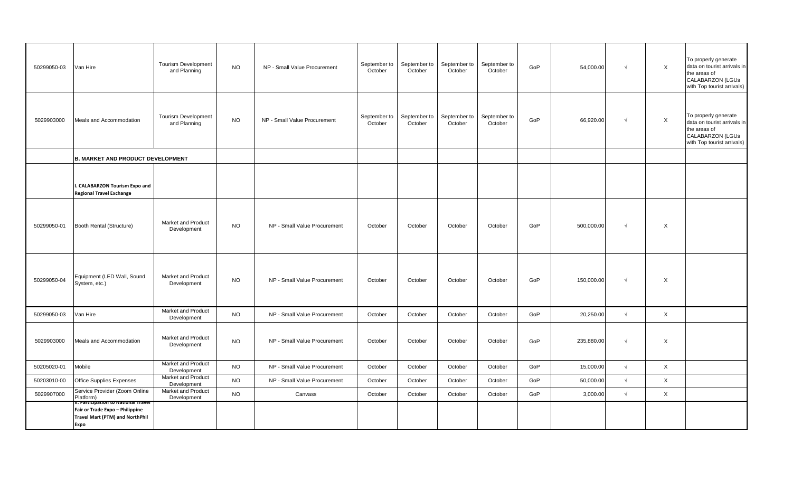| 50299050-03 | Van Hire                                                                                                          | <b>Tourism Development</b><br>and Planning | <b>NO</b> | NP - Small Value Procurement | September to<br>October | September to<br>October | September to<br>October | September to<br>October | GoP | 54,000.00  | $\sqrt{ }$ | $\mathsf{X}$ | To properly generate<br>data on tourist arrivals in<br>the areas of<br>CALABARZON (LGUs<br>with Top tourist arrivals) |
|-------------|-------------------------------------------------------------------------------------------------------------------|--------------------------------------------|-----------|------------------------------|-------------------------|-------------------------|-------------------------|-------------------------|-----|------------|------------|--------------|-----------------------------------------------------------------------------------------------------------------------|
| 5029903000  | Meals and Accommodation                                                                                           | <b>Tourism Development</b><br>and Planning | <b>NO</b> | NP - Small Value Procurement | September to<br>October | September to<br>October | September to<br>October | September to<br>October | GoP | 66,920.00  | $\sqrt{ }$ | X            | To properly generate<br>data on tourist arrivals in<br>the areas of<br>CALABARZON (LGUs<br>with Top tourist arrivals) |
|             | <b>B. MARKET AND PRODUCT DEVELOPMENT</b>                                                                          |                                            |           |                              |                         |                         |                         |                         |     |            |            |              |                                                                                                                       |
|             | I. CALABARZON Tourism Expo and<br><b>Regional Travel Exchange</b>                                                 |                                            |           |                              |                         |                         |                         |                         |     |            |            |              |                                                                                                                       |
| 50299050-01 | Booth Rental (Structure)                                                                                          | Market and Product<br>Development          | <b>NO</b> | NP - Small Value Procurement | October                 | October                 | October                 | October                 | GoP | 500,000.00 | $\sqrt{ }$ | X            |                                                                                                                       |
| 50299050-04 | Equipment (LED Wall, Sound<br>System, etc.)                                                                       | Market and Product<br>Development          | <b>NO</b> | NP - Small Value Procurement | October                 | October                 | October                 | October                 | GoP | 150,000.00 | $\sqrt{ }$ | X            |                                                                                                                       |
| 50299050-03 | Van Hire                                                                                                          | Market and Product<br>Development          | <b>NO</b> | NP - Small Value Procurement | October                 | October                 | October                 | October                 | GoP | 20,250.00  | $\sqrt{ }$ | $\times$     |                                                                                                                       |
| 5029903000  | Meals and Accommodation                                                                                           | Market and Product<br>Development          | <b>NO</b> | NP - Small Value Procurement | October                 | October                 | October                 | October                 | GoP | 235,880.00 | $\sqrt{ }$ | X            |                                                                                                                       |
| 50205020-01 | Mobile                                                                                                            | Market and Product<br>Development          | <b>NO</b> | NP - Small Value Procurement | October                 | October                 | October                 | October                 | GoP | 15,000.00  | $\sqrt{ }$ | $\mathsf{X}$ |                                                                                                                       |
| 50203010-00 | Office Supplies Expenses                                                                                          | Market and Product<br>Development          | <b>NO</b> | NP - Small Value Procurement | October                 | October                 | October                 | October                 | GoP | 50,000.00  | $\sqrt{ }$ | $\mathsf X$  |                                                                                                                       |
| 5029907000  | Service Provider (Zoom Online<br>Platform)                                                                        | Market and Product<br>Development          | <b>NO</b> | Canvass                      | October                 | October                 | October                 | October                 | GoP | 3,000.00   | $\sqrt{ }$ | $\mathsf X$  |                                                                                                                       |
|             | n. Participation to National Travel<br>Fair or Trade Expo - Philippine<br>Travel Mart (PTM) and NorthPhil<br>Expo |                                            |           |                              |                         |                         |                         |                         |     |            |            |              |                                                                                                                       |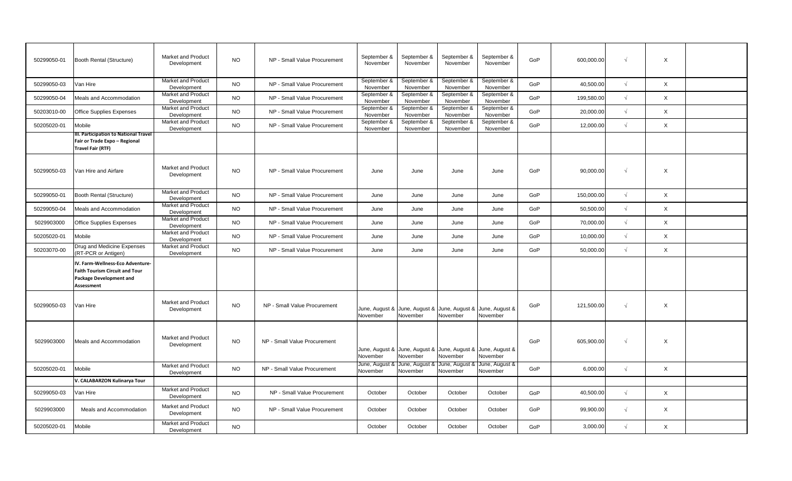| 50299050-01 | Booth Rental (Structure)                                                                                                  | <b>Market and Product</b><br>Development | <b>NO</b> | NP - Small Value Procurement | September &<br>November    | September &<br>November                                                 | September &<br>November                   | September &<br>November | GoP | 600,000.00 | $\sqrt{ }$ | $\boldsymbol{\mathsf{X}}$ |  |
|-------------|---------------------------------------------------------------------------------------------------------------------------|------------------------------------------|-----------|------------------------------|----------------------------|-------------------------------------------------------------------------|-------------------------------------------|-------------------------|-----|------------|------------|---------------------------|--|
| 50299050-03 | Van Hire                                                                                                                  | <b>Market and Product</b><br>Development | <b>NO</b> | NP - Small Value Procurement | September &<br>November    | September 8<br>November                                                 | September &<br>November                   | September &<br>November | GoP | 40,500.00  | $\sqrt{ }$ | X                         |  |
| 50299050-04 | Meals and Accommodation                                                                                                   | <b>Market and Product</b><br>Development | <b>NO</b> | NP - Small Value Procurement | September &<br>November    | September &<br>November                                                 | September &<br>November                   | September &<br>November | GoP | 199,580.00 | $\sqrt{ }$ | X                         |  |
| 50203010-00 | <b>Office Supplies Expenses</b>                                                                                           | Market and Product<br>Development        | <b>NO</b> | NP - Small Value Procurement | September &<br>November    | September &<br>November                                                 | September &<br>November                   | September &<br>November | GoP | 20,000.00  | $\sqrt{ }$ | X                         |  |
| 50205020-01 | Mobile                                                                                                                    | Market and Product<br>Development        | <b>NO</b> | NP - Small Value Procurement | September &<br>November    | September &<br>November                                                 | September &<br>November                   | September &<br>November | GoP | 12,000.00  | $\sqrt{ }$ | X                         |  |
|             | III. Participation to National Travel<br>Fair or Trade Expo - Regional<br><b>Travel Fair (RTF)</b>                        |                                          |           |                              |                            |                                                                         |                                           |                         |     |            |            |                           |  |
| 50299050-03 | Van Hire and Airfare                                                                                                      | Market and Product<br>Development        | <b>NO</b> | NP - Small Value Procurement | June                       | June                                                                    | June                                      | June                    | GoP | 90,000.00  | $\sqrt{ }$ | X                         |  |
| 50299050-01 | Booth Rental (Structure)                                                                                                  | <b>Market and Product</b><br>Development | <b>NO</b> | NP - Small Value Procurement | June                       | June                                                                    | June                                      | June                    | GoP | 150,000.00 | $\sqrt{ }$ | X                         |  |
| 50299050-04 | Meals and Accommodation                                                                                                   | Market and Product<br>Development        | <b>NO</b> | NP - Small Value Procurement | June                       | June                                                                    | June                                      | June                    | GoP | 50,500.00  | $\sqrt{ }$ | X                         |  |
| 5029903000  | <b>Office Supplies Expenses</b>                                                                                           | <b>Market and Product</b><br>Development | <b>NO</b> | NP - Small Value Procurement | June                       | June                                                                    | June                                      | June                    | GoP | 70,000.00  | $\sqrt{ }$ | X                         |  |
| 50205020-01 | Mobile                                                                                                                    | Market and Product<br>Development        | <b>NO</b> | NP - Small Value Procurement | June                       | June                                                                    | June                                      | June                    | GoP | 10,000.00  | $\sqrt{ }$ | $\mathsf X$               |  |
| 50203070-00 | Drug and Medicine Expenses<br>(RT-PCR or Antigen)                                                                         | <b>Market and Product</b><br>Development | <b>NO</b> | NP - Small Value Procurement | June                       | June                                                                    | June                                      | June                    | GoP | 50,000.00  | $\sqrt{ }$ | $\mathsf{X}$              |  |
|             | IV. Farm-Wellness-Eco Adventure-<br><b>Faith Tourism Circuit and Tour</b><br><b>Package Development and</b><br>Assessment |                                          |           |                              |                            |                                                                         |                                           |                         |     |            |            |                           |  |
| 50299050-03 | Van Hire                                                                                                                  | Market and Product<br>Development        | <b>NO</b> | NP - Small Value Procurement | November                   | June, August & June, August & June, August & June, August &<br>November | November                                  | November                | GoP | 121,500.00 | $\sqrt{ }$ | X                         |  |
| 5029903000  | Meals and Accommodation                                                                                                   | <b>Market and Product</b><br>Development | <b>NO</b> | NP - Small Value Procurement | November                   | June, August & June, August & June, August & June, August &<br>November | November                                  | November                | GoP | 605,900.00 | $\sqrt{ }$ | X                         |  |
| 50205020-01 | Mobile                                                                                                                    | Market and Product<br>Development        | <b>NO</b> | NP - Small Value Procurement | June, August 8<br>November | June, August<br>November                                                | June, August & June, August &<br>November | November                | GoP | 6,000.00   | $\sqrt{ }$ | X                         |  |
|             | V. CALABARZON Kulinarya Tour                                                                                              |                                          |           |                              |                            |                                                                         |                                           |                         |     |            |            |                           |  |
| 50299050-03 | Van Hire                                                                                                                  | Market and Product<br>Development        | <b>NO</b> | NP - Small Value Procurement | October                    | October                                                                 | October                                   | October                 | GoP | 40,500.00  | $\sqrt{ }$ | X                         |  |
| 5029903000  | Meals and Accommodation                                                                                                   | Market and Product<br>Development        | <b>NO</b> | NP - Small Value Procurement | October                    | October                                                                 | October                                   | October                 | GoP | 99,900.00  | $\sqrt{ }$ | X                         |  |
| 50205020-01 | Mobile                                                                                                                    | Market and Product<br>Development        | <b>NO</b> |                              | October                    | October                                                                 | October                                   | October                 | GoP | 3,000.00   | $\sqrt{ }$ | X                         |  |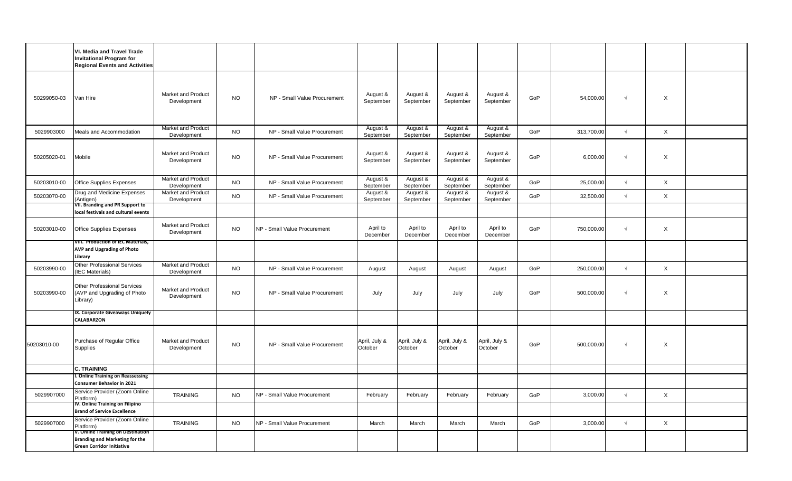|             | VI. Media and Travel Trade<br><b>Invitational Program for</b><br><b>Regional Events and Activities</b> |                                          |           |                              |                          |                          |                          |                          |     |            |            |              |  |
|-------------|--------------------------------------------------------------------------------------------------------|------------------------------------------|-----------|------------------------------|--------------------------|--------------------------|--------------------------|--------------------------|-----|------------|------------|--------------|--|
| 50299050-03 | Van Hire                                                                                               | <b>Market and Product</b><br>Development | <b>NO</b> | NP - Small Value Procurement | August &<br>September    | August &<br>September    | August &<br>September    | August &<br>September    | GoP | 54,000.00  | $\sqrt{ }$ | X            |  |
| 5029903000  | Meals and Accommodation                                                                                | Market and Product<br>Development        | <b>NO</b> | NP - Small Value Procurement | August &<br>September    | August &<br>September    | August &<br>September    | August &<br>September    | GoP | 313,700.00 | $\sqrt{ }$ | X            |  |
| 50205020-01 | Mobile                                                                                                 | Market and Product<br>Development        | <b>NO</b> | NP - Small Value Procurement | August &<br>September    | August &<br>September    | August &<br>September    | August &<br>September    | GoP | 6,000.00   | $\sqrt{ }$ | X            |  |
| 50203010-00 | Office Supplies Expenses                                                                               | Market and Product<br>Development        | <b>NO</b> | NP - Small Value Procurement | August &<br>September    | August &<br>September    | August &<br>September    | August &<br>September    | GoP | 25,000.00  | $\sqrt{ }$ | X            |  |
| 50203070-00 | Drug and Medicine Expenses<br>(Antigen)                                                                | Market and Product<br>Development        | <b>NO</b> | NP - Small Value Procurement | August &<br>September    | August &<br>September    | August &<br>September    | August &<br>September    | GoP | 32,500.00  | $\sqrt{ }$ | X            |  |
|             | VII. Branding and PR Support to<br>local festivals and cultural events                                 |                                          |           |                              |                          |                          |                          |                          |     |            |            |              |  |
| 50203010-00 | <b>Office Supplies Expenses</b>                                                                        | Market and Product<br>Development        | <b>NO</b> | NP - Small Value Procurement | April to<br>December     | April to<br>December     | April to<br>December     | April to<br>December     | GoP | 750,000.00 | $\sqrt{ }$ | X            |  |
|             | VIII. Production of IEC Materials,<br><b>AVP and Upgrading of Photo</b><br>Library                     |                                          |           |                              |                          |                          |                          |                          |     |            |            |              |  |
| 50203990-00 | <b>Other Professional Services</b><br>(IEC Materials)                                                  | Market and Product<br>Development        | <b>NO</b> | NP - Small Value Procurement | August                   | August                   | August                   | August                   | GoP | 250,000.00 | $\sqrt{ }$ | X            |  |
| 50203990-00 | <b>Other Professional Services</b><br>(AVP and Upgrading of Photo<br>Library)                          | Market and Product<br>Development        | <b>NO</b> | NP - Small Value Procurement | July                     | July                     | July                     | July                     | GoP | 500,000.00 | $\sqrt{ }$ | X            |  |
|             | IX. Corporate Giveaways Uniquely<br>CALABARZON                                                         |                                          |           |                              |                          |                          |                          |                          |     |            |            |              |  |
| 50203010-00 | Purchase of Regular Office<br>Supplies                                                                 | Market and Product<br>Development        | <b>NO</b> | NP - Small Value Procurement | April, July &<br>October | April, July &<br>October | April, July &<br>October | April, July &<br>October | GoP | 500,000.00 | $\sqrt{ }$ | X            |  |
|             | <b>C. TRAINING</b><br>I. Online Training on Reassessing                                                |                                          |           |                              |                          |                          |                          |                          |     |            |            |              |  |
|             | Consumer Behavior in 2021                                                                              |                                          |           |                              |                          |                          |                          |                          |     |            |            |              |  |
| 5029907000  | Service Provider (Zoom Online<br>Platform)<br>IV. Online Training on Filipino                          | <b>TRAINING</b>                          | NO.       | NP - Small Value Procurement | February                 | February                 | February                 | February                 | GoP | 3,000.00   | $\sqrt{ }$ | X            |  |
|             | <b>Brand of Service Excellence</b>                                                                     |                                          |           |                              |                          |                          |                          |                          |     |            |            |              |  |
| 5029907000  | Service Provider (Zoom Online<br>Platform)<br>V. Online Training on Destination                        | <b>TRAINING</b>                          | <b>NO</b> | NP - Small Value Procurement | March                    | March                    | March                    | March                    | GoP | 3,000.00   | $\sqrt{ }$ | $\mathsf{X}$ |  |
|             | <b>Branding and Marketing for the</b><br><b>Green Corridor Initiative</b>                              |                                          |           |                              |                          |                          |                          |                          |     |            |            |              |  |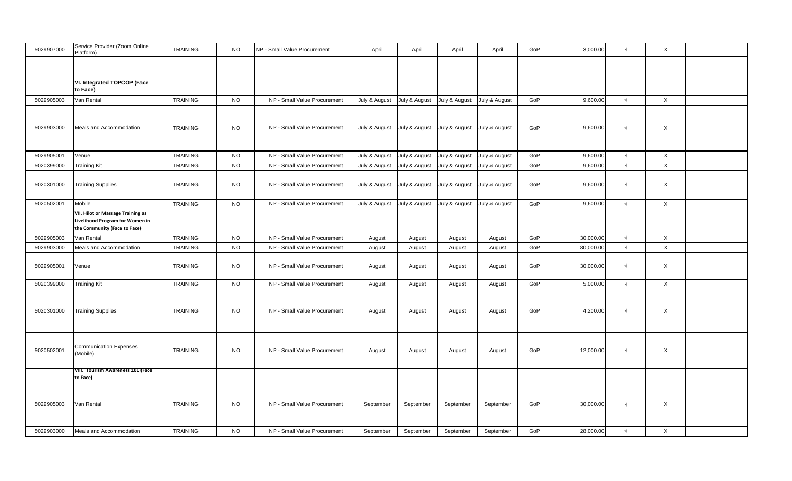| 5029907000 | Service Provider (Zoom Online<br>Platform)                                                           | <b>TRAINING</b> | <b>NO</b> | NP - Small Value Procurement | April         | April         | April         | April         | GoP | 3,000.00  | $\sqrt{ }$ | $\mathsf{X}$ |  |
|------------|------------------------------------------------------------------------------------------------------|-----------------|-----------|------------------------------|---------------|---------------|---------------|---------------|-----|-----------|------------|--------------|--|
|            | VI. Integrated TOPCOP (Face<br>to Face)                                                              |                 |           |                              |               |               |               |               |     |           |            |              |  |
| 5029905003 | Van Rental                                                                                           | <b>TRAINING</b> | <b>NO</b> | NP - Small Value Procurement | July & August | July & August | July & August | July & August | GoP | 9,600.00  | $\sqrt{ }$ | $\mathsf{X}$ |  |
| 5029903000 | Meals and Accommodation                                                                              | <b>TRAINING</b> | <b>NO</b> | NP - Small Value Procurement | July & August | July & August | July & August | July & August | GoP | 9,600.00  | $\sqrt{ }$ | $\mathsf X$  |  |
| 5029905001 | Venue                                                                                                | <b>TRAINING</b> | <b>NO</b> | NP - Small Value Procurement | July & August | July & August | July & August | July & August | GoP | 9,600.00  | $\sqrt{ }$ | $\times$     |  |
| 5020399000 | <b>Training Kit</b>                                                                                  | <b>TRAINING</b> | <b>NO</b> | NP - Small Value Procurement | July & August | July & August | July & August | July & August | GoP | 9,600.00  | $\sqrt{2}$ | $\mathsf{X}$ |  |
| 5020301000 | <b>Training Supplies</b>                                                                             | <b>TRAINING</b> | <b>NO</b> | NP - Small Value Procurement | July & August | July & August | July & August | July & August | GoP | 9,600.00  | $\sqrt{ }$ | $\mathsf{X}$ |  |
| 5020502001 | Mobile                                                                                               | <b>TRAINING</b> | <b>NO</b> | NP - Small Value Procurement | July & August | July & August | July & August | July & August | GoP | 9,600.00  | $\sqrt{ }$ | $\times$     |  |
|            | VII. Hilot or Massage Training as<br>Livelihood Program for Women in<br>the Community (Face to Face) |                 |           |                              |               |               |               |               |     |           |            |              |  |
| 5029905003 | Van Rental                                                                                           | <b>TRAINING</b> | <b>NO</b> | NP - Small Value Procurement | August        | August        | August        | August        | GoP | 30,000.00 | $\sqrt{ }$ | $\mathsf{X}$ |  |
| 5029903000 | Meals and Accommodation                                                                              | <b>TRAINING</b> | <b>NO</b> | NP - Small Value Procurement | August        | August        | August        | August        | GoP | 80,000.00 | $\sqrt{ }$ | $\times$     |  |
| 5029905001 | Venue                                                                                                | <b>TRAINING</b> | NO.       | NP - Small Value Procurement | August        | August        | August        | August        | GoP | 30,000.00 | $\sqrt{ }$ | X            |  |
| 5020399000 | <b>Training Kit</b>                                                                                  | <b>TRAINING</b> | <b>NO</b> | NP - Small Value Procurement | August        | August        | August        | August        | GoP | 5,000.00  | $\sqrt{ }$ | $\times$     |  |
| 5020301000 | <b>Training Supplies</b>                                                                             | <b>TRAINING</b> | NO        | NP - Small Value Procurement | August        | August        | August        | August        | GoP | 4,200.00  | $\sqrt{ }$ | X            |  |
| 5020502001 | <b>Communication Expenses</b><br>Mobile)                                                             | <b>TRAINING</b> | NO.       | NP - Small Value Procurement | August        | August        | August        | August        | GoP | 12,000.00 | $\sqrt{ }$ | X            |  |
|            | VIII. Tourism Awareness 101 (Face<br>to Face)                                                        |                 |           |                              |               |               |               |               |     |           |            |              |  |
| 5029905003 | Van Rental                                                                                           | <b>TRAINING</b> | <b>NO</b> | NP - Small Value Procurement | September     | September     | September     | September     | GoP | 30,000.00 | $\sqrt{ }$ | X            |  |
| 5029903000 | Meals and Accommodation                                                                              | <b>TRAINING</b> | <b>NO</b> | NP - Small Value Procurement | September     | September     | September     | September     | GoP | 28,000.00 | $\sqrt{ }$ | $\mathsf{X}$ |  |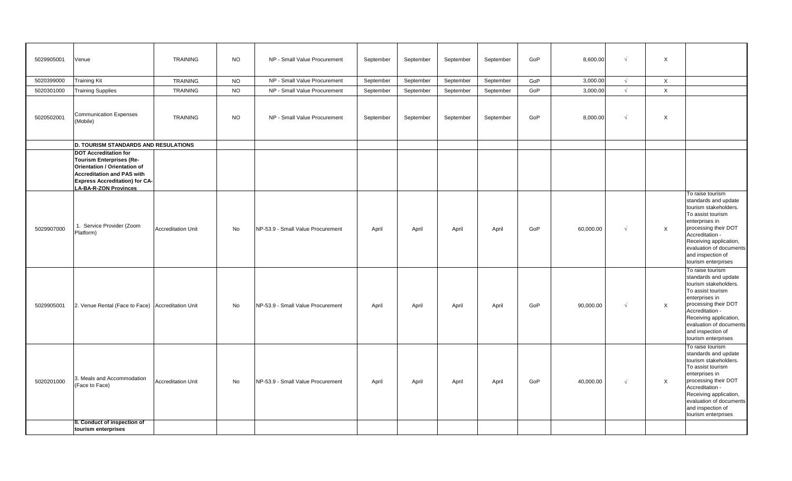| 5029905001 | Venue                                                                                                                                                                                                  | <b>TRAINING</b>           | <b>NO</b> | NP - Small Value Procurement      | September | September | September | September | GoP | 8,600.00  | $\sqrt{ }$ | $\times$     |                                                                                                                                                                                                                                                      |
|------------|--------------------------------------------------------------------------------------------------------------------------------------------------------------------------------------------------------|---------------------------|-----------|-----------------------------------|-----------|-----------|-----------|-----------|-----|-----------|------------|--------------|------------------------------------------------------------------------------------------------------------------------------------------------------------------------------------------------------------------------------------------------------|
| 5020399000 | <b>Training Kit</b>                                                                                                                                                                                    | <b>TRAINING</b>           | <b>NO</b> | NP - Small Value Procurement      | September | September | September | September | GoP | 3,000.00  | $\sqrt{ }$ | $\mathsf{X}$ |                                                                                                                                                                                                                                                      |
| 5020301000 | <b>Training Supplies</b>                                                                                                                                                                               | <b>TRAINING</b>           | <b>NO</b> | NP - Small Value Procurement      | September | September | September | September | GoP | 3,000.00  | $\sqrt{ }$ | $\mathsf{X}$ |                                                                                                                                                                                                                                                      |
| 5020502001 | <b>Communication Expenses</b><br>(Mobile)                                                                                                                                                              | <b>TRAINING</b>           | <b>NO</b> | NP - Small Value Procurement      | September | September | September | September | GoP | 8,000.00  | $\sqrt{ }$ | X            |                                                                                                                                                                                                                                                      |
|            | <b>D. TOURISM STANDARDS AND RESULATIONS</b>                                                                                                                                                            |                           |           |                                   |           |           |           |           |     |           |            |              |                                                                                                                                                                                                                                                      |
|            | <b>DOT Accreditation for</b><br><b>Tourism Enterprises (Re-</b><br>Orientation / Orientation of<br><b>Accreditation and PAS with</b><br><b>Express Accreditation) for CA-</b><br>LA-BA-R-ZON Provinces |                           |           |                                   |           |           |           |           |     |           |            |              |                                                                                                                                                                                                                                                      |
| 5029907000 | 1. Service Provider (Zoom<br>Platform)                                                                                                                                                                 | <b>Accreditation Unit</b> | No        | NP-53.9 - Small Value Procurement | April     | April     | April     | April     | GoP | 60,000.00 | $\sqrt{ }$ | $\mathsf{X}$ | To raise tourism<br>standards and update<br>tourism stakeholders.<br>To assist tourism<br>enterprises in<br>processing their DOT<br>Accreditation -<br>Receiving application,<br>evaluation of documents<br>and inspection of<br>tourism enterprises |
| 5029905001 | 2. Venue Rental (Face to Face) Accreditation Unit                                                                                                                                                      |                           | No        | NP-53.9 - Small Value Procurement | April     | April     | April     | April     | GoP | 90,000.00 | $\sqrt{ }$ | X            | To raise tourism<br>standards and update<br>tourism stakeholders.<br>To assist tourism<br>enterprises in<br>processing their DOT<br>Accreditation -<br>Receiving application,<br>evaluation of documents<br>and inspection of<br>tourism enterprises |
| 5020201000 | 3. Meals and Accommodation<br>(Face to Face)                                                                                                                                                           | <b>Accreditation Unit</b> | No        | NP-53.9 - Small Value Procurement | April     | April     | April     | April     | GoP | 40,000.00 | $\sqrt{ }$ | $\times$     | To raise tourism<br>standards and update<br>tourism stakeholders.<br>To assist tourism<br>enterprises in<br>processing their DOT<br>Accreditation -<br>Receiving application,<br>evaluation of documents<br>and inspection of<br>tourism enterprises |
|            | II. Conduct of inspection of<br>tourism enterprises                                                                                                                                                    |                           |           |                                   |           |           |           |           |     |           |            |              |                                                                                                                                                                                                                                                      |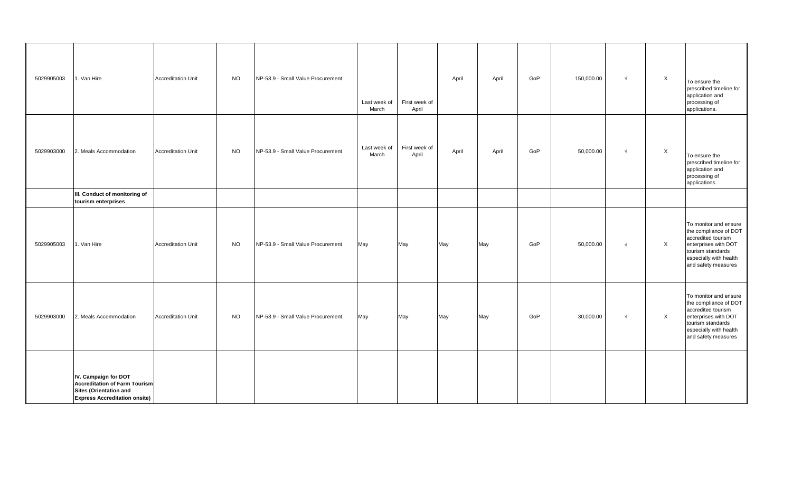| 5029905003 | 1. Van Hire                                                                                                                           | <b>Accreditation Unit</b> | <b>NO</b> | NP-53.9 - Small Value Procurement | Last week of<br>March | First week of<br>April | April | April | GoP | 150,000.00 | $\sqrt{ }$ | $\mathsf{X}$              | To ensure the<br>prescribed timeline for<br>application and<br>processing of<br>applications.                                                                      |
|------------|---------------------------------------------------------------------------------------------------------------------------------------|---------------------------|-----------|-----------------------------------|-----------------------|------------------------|-------|-------|-----|------------|------------|---------------------------|--------------------------------------------------------------------------------------------------------------------------------------------------------------------|
| 5029903000 | 2. Meals Accommodation                                                                                                                | <b>Accreditation Unit</b> | <b>NO</b> | NP-53.9 - Small Value Procurement | Last week of<br>March | First week of<br>April | April | April | GoP | 50,000.00  | $\sqrt{ }$ | $\boldsymbol{\mathsf{X}}$ | To ensure the<br>prescribed timeline for<br>application and<br>processing of<br>applications.                                                                      |
|            | III. Conduct of monitoring of<br>tourism enterprises                                                                                  |                           |           |                                   |                       |                        |       |       |     |            |            |                           |                                                                                                                                                                    |
| 5029905003 | 1. Van Hire                                                                                                                           | <b>Accreditation Unit</b> | <b>NO</b> | NP-53.9 - Small Value Procurement | May                   | May                    | May   | May   | GoP | 50,000.00  | $\sqrt{ }$ | $\mathsf{X}$              | To monitor and ensure<br>the compliance of DOT<br>accredited tourism<br>enterprises with DOT<br>tourism standards<br>especially with health<br>and safety measures |
| 5029903000 | 2. Meals Accommodation                                                                                                                | <b>Accreditation Unit</b> | <b>NO</b> | NP-53.9 - Small Value Procurement | May                   | May                    | May   | May   | GoP | 30,000.00  | $\sqrt{ }$ | $\mathsf{X}$              | To monitor and ensure<br>the compliance of DOT<br>accredited tourism<br>enterprises with DOT<br>tourism standards<br>especially with health<br>and safety measures |
|            | IV. Campaign for DOT<br><b>Accreditation of Farm Tourism</b><br><b>Sites (Orientation and</b><br><b>Express Accreditation onsite)</b> |                           |           |                                   |                       |                        |       |       |     |            |            |                           |                                                                                                                                                                    |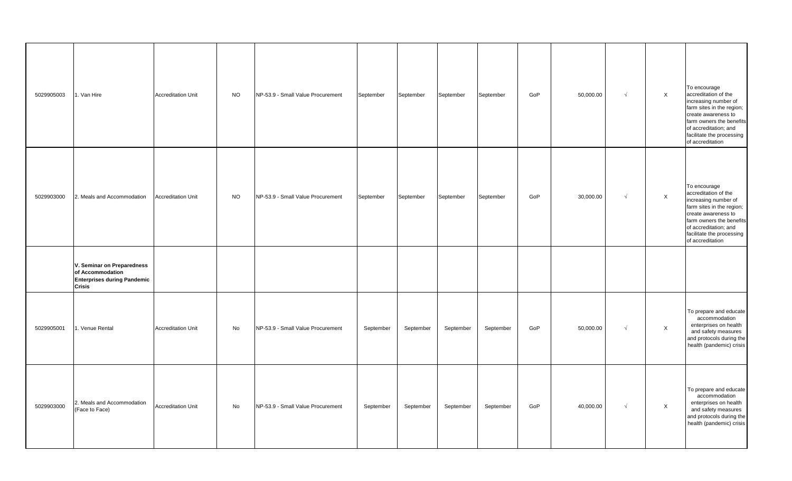| 5029905003 | 1. Van Hire                                                                                           | <b>Accreditation Unit</b> | <b>NO</b> | NP-53.9 - Small Value Procurement | September | September | September | September | GoP | 50,000.00 | $\sqrt{ }$ | $\boldsymbol{\mathsf{X}}$ | To encourage<br>accreditation of the<br>increasing number of<br>farm sites in the region;<br>create awareness to<br>farm owners the benefits<br>of accreditation; and<br>facilitate the processing<br>of accreditation |
|------------|-------------------------------------------------------------------------------------------------------|---------------------------|-----------|-----------------------------------|-----------|-----------|-----------|-----------|-----|-----------|------------|---------------------------|------------------------------------------------------------------------------------------------------------------------------------------------------------------------------------------------------------------------|
| 5029903000 | 2. Meals and Accommodation                                                                            | <b>Accreditation Unit</b> | <b>NO</b> | NP-53.9 - Small Value Procurement | September | September | September | September | GoP | 30,000.00 | $\sqrt{ }$ | X                         | To encourage<br>accreditation of the<br>increasing number of<br>farm sites in the region;<br>create awareness to<br>farm owners the benefits<br>of accreditation; and<br>facilitate the processing<br>of accreditation |
|            | V. Seminar on Preparedness<br>of Accommodation<br><b>Enterprises during Pandemic</b><br><b>Crisis</b> |                           |           |                                   |           |           |           |           |     |           |            |                           |                                                                                                                                                                                                                        |
| 5029905001 | 1. Venue Rental                                                                                       | <b>Accreditation Unit</b> | No        | NP-53.9 - Small Value Procurement | September | September | September | September | GoP | 50,000.00 | $\sqrt{ }$ | $\boldsymbol{\mathsf{X}}$ | To prepare and educate<br>accommodation<br>enterprises on health<br>and safety measures<br>and protocols during the<br>health (pandemic) crisis                                                                        |
| 5029903000 | 2. Meals and Accommodation<br>(Face to Face)                                                          | <b>Accreditation Unit</b> | No        | NP-53.9 - Small Value Procurement | September | September | September | September | GoP | 40,000.00 | $\sqrt{ }$ | $\boldsymbol{\mathsf{X}}$ | To prepare and educate<br>accommodation<br>enterprises on health<br>and safety measures<br>and protocols during the<br>health (pandemic) crisis                                                                        |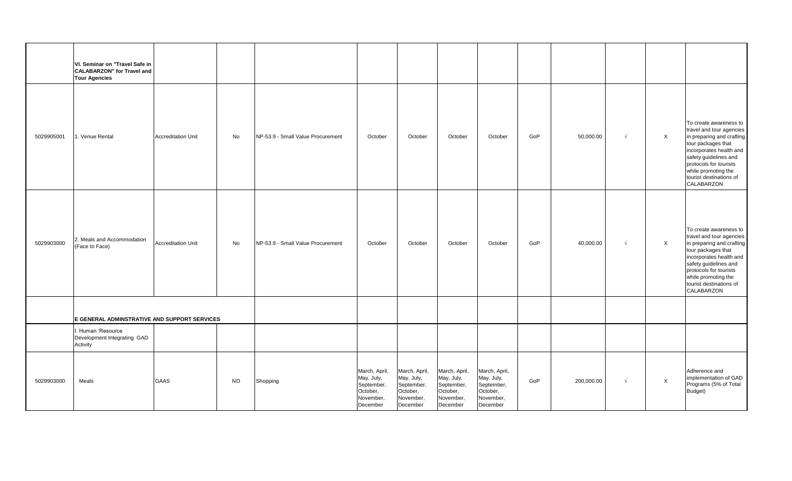|            | VI. Seminar on "Travel Safe in<br><b>CALABARZON"</b> for Travel and<br><b>Tour Agencies</b> |                           |           |                                   |                                                                                |                                                                                |                                                                                |                                                                                |     |            |            |                           |                                                                                                                                                                                                                                                     |
|------------|---------------------------------------------------------------------------------------------|---------------------------|-----------|-----------------------------------|--------------------------------------------------------------------------------|--------------------------------------------------------------------------------|--------------------------------------------------------------------------------|--------------------------------------------------------------------------------|-----|------------|------------|---------------------------|-----------------------------------------------------------------------------------------------------------------------------------------------------------------------------------------------------------------------------------------------------|
| 5029905001 | 1. Venue Rental                                                                             | <b>Accreditation Unit</b> | No        | NP-53.9 - Small Value Procurement | October                                                                        | October                                                                        | October                                                                        | October                                                                        | GoP | 50,000.00  | $\sqrt{ }$ | $\mathsf{X}$              | To create awareness to<br>travel and tour agencies<br>in preparing and crafting<br>tour packages that<br>incorporates health and<br>safety guidelines and<br>protocols for tourists<br>while promoting the<br>tourist destinations of<br>CALABARZON |
| 5029903000 | 2. Meals and Accommodation<br>(Face to Face)                                                | <b>Accreditation Unit</b> | No        | NP-53.9 - Small Value Procurement | October                                                                        | October                                                                        | October                                                                        | October                                                                        | GoP | 40,000.00  | $\sqrt{ }$ | $\boldsymbol{\mathsf{X}}$ | To create awareness to<br>travel and tour agencies<br>in preparing and crafting<br>tour packages that<br>incorporates health and<br>safety guidelines and<br>protocols for tourists<br>while promoting the<br>tourist destinations of<br>CALABARZON |
|            | E GENERAL ADMINSTRATIVE AND SUPPORT SERVICES                                                |                           |           |                                   |                                                                                |                                                                                |                                                                                |                                                                                |     |            |            |                           |                                                                                                                                                                                                                                                     |
|            | . Human 'Resource<br>Development Integrating GAD<br>Activity                                |                           |           |                                   |                                                                                |                                                                                |                                                                                |                                                                                |     |            |            |                           |                                                                                                                                                                                                                                                     |
| 5029903000 | Meals                                                                                       | <b>GAAS</b>               | <b>NO</b> | Shopping                          | March, April,<br>May, July,<br>September,<br>October,<br>November,<br>December | March, April,<br>May, July,<br>September,<br>October,<br>November,<br>December | March, April,<br>May, July,<br>September,<br>October,<br>November,<br>December | March, April,<br>May, July,<br>September,<br>October,<br>November,<br>December | GoP | 200,000.00 | $\sqrt{ }$ | $\boldsymbol{\mathsf{X}}$ | Adherence and<br>implementation of GAD<br>Programs (5% of Total<br>Budget)                                                                                                                                                                          |